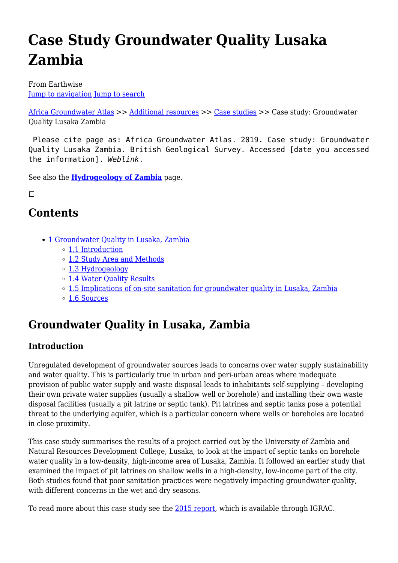# **Case Study Groundwater Quality Lusaka Zambia**

From Earthwise [Jump to navigation](#page--1-0) [Jump to search](#page--1-0)

[Africa Groundwater Atlas](http://earthwise.bgs.ac.uk/index.php/Africa_Groundwater_Atlas_Home) >> [Additional resources](http://earthwise.bgs.ac.uk/index.php/Additional_resources) >> [Case studies](http://earthwise.bgs.ac.uk/index.php/Case_studies) >> Case study: Groundwater Quality Lusaka Zambia

 Please cite page as: Africa Groundwater Atlas. 2019. Case study: Groundwater Quality Lusaka Zambia. British Geological Survey. Accessed [date you accessed the information]. *Weblink*.

See also the **[Hydrogeology of Zambia](http://earthwise.bgs.ac.uk/index.php/Hydrogeology_of_Zambia)** page.

 $\Box$ 

### **Contents**

- [1](#Groundwater_Quality_in_Lusaka.2C_Zambia) [Groundwater Quality in Lusaka, Zambia](#Groundwater_Quality_in_Lusaka.2C_Zambia)
	- [1.1](#page--1-0) [Introduction](#page--1-0)
	- [1.2](#page--1-0) [Study Area and Methods](#page--1-0)
	- [1.3](#page--1-0) [Hydrogeology](#page--1-0)
	- [1.4](#page--1-0) [Water Quality Results](#page--1-0)
	- o [1.5](#Implications_of_on-site_sanitation_for_groundwater_quality_in_Lusaka.2C_Zambia) [Implications of on-site sanitation for groundwater quality in Lusaka, Zambia](#Implications_of_on-site_sanitation_for_groundwater_quality_in_Lusaka.2C_Zambia)
	- [1.6](#page--1-0) [Sources](#page--1-0)

## **Groundwater Quality in Lusaka, Zambia**

### **Introduction**

Unregulated development of groundwater sources leads to concerns over water supply sustainability and water quality. This is particularly true in urban and peri-urban areas where inadequate provision of public water supply and waste disposal leads to inhabitants self-supplying – developing their own private water supplies (usually a shallow well or borehole) and installing their own waste disposal facilities (usually a pit latrine or septic tank). Pit latrines and septic tanks pose a potential threat to the underlying aquifer, which is a particular concern where wells or boreholes are located in close proximity.

This case study summarises the results of a project carried out by the University of Zambia and Natural Resources Development College, Lusaka, to look at the impact of septic tanks on borehole water quality in a low-density, high-income area of Lusaka, Zambia. It followed an earlier study that examined the impact of pit latrines on shallow wells in a high-density, low-income part of the city. Both studies found that poor sanitation practices were negatively impacting groundwater quality, with different concerns in the wet and dry seasons.

To read more about this case study see the [2015 report,](https://www.un-igrac.org/resource/groundwater-resource-management-st-bonaventure-township-lusaka) which is available through IGRAC.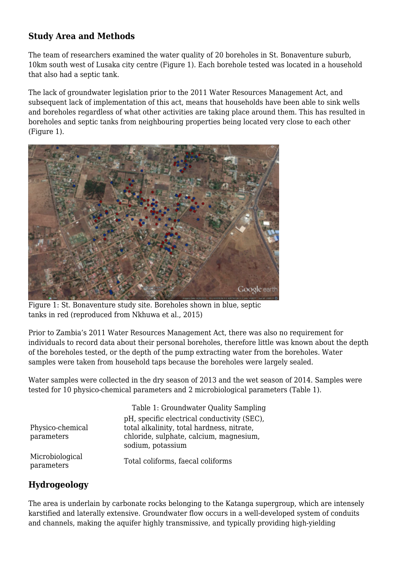### **Study Area and Methods**

The team of researchers examined the water quality of 20 boreholes in St. Bonaventure suburb, 10km south west of Lusaka city centre (Figure 1). Each borehole tested was located in a household that also had a septic tank.

The lack of groundwater legislation prior to the 2011 Water Resources Management Act, and subsequent lack of implementation of this act, means that households have been able to sink wells and boreholes regardless of what other activities are taking place around them. This has resulted in boreholes and septic tanks from neighbouring properties being located very close to each other (Figure 1).



Figure 1: St. Bonaventure study site. Boreholes shown in blue, septic tanks in red (reproduced from Nkhuwa et al., 2015)

Prior to Zambia's 2011 Water Resources Management Act, there was also no requirement for individuals to record data about their personal boreholes, therefore little was known about the depth of the boreholes tested, or the depth of the pump extracting water from the boreholes. Water samples were taken from household taps because the boreholes were largely sealed.

Water samples were collected in the dry season of 2013 and the wet season of 2014. Samples were tested for 10 physico-chemical parameters and 2 microbiological parameters (Table 1).

|                                | Table 1: Groundwater Quality Sampling                                                                                                                     |
|--------------------------------|-----------------------------------------------------------------------------------------------------------------------------------------------------------|
| Physico-chemical<br>parameters | pH, specific electrical conductivity (SEC),<br>total alkalinity, total hardness, nitrate,<br>chloride, sulphate, calcium, magnesium,<br>sodium, potassium |
| Microbiological<br>parameters  | Total coliforms, faecal coliforms                                                                                                                         |

### **Hydrogeology**

The area is underlain by carbonate rocks belonging to the Katanga supergroup, which are intensely karstified and laterally extensive. Groundwater flow occurs in a well-developed system of conduits and channels, making the aquifer highly transmissive, and typically providing high-yielding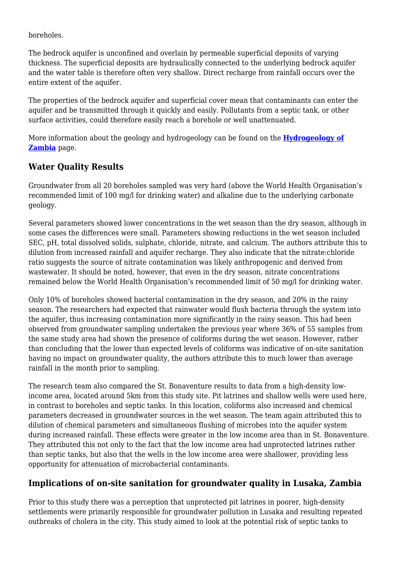boreholes.

The bedrock aquifer is unconfined and overlain by permeable superficial deposits of varying thickness. The superficial deposits are hydraulically connected to the underlying bedrock aquifer and the water table is therefore often very shallow. Direct recharge from rainfall occurs over the entire extent of the aquifer.

The properties of the bedrock aquifer and superficial cover mean that contaminants can enter the aquifer and be transmitted through it quickly and easily. Pollutants from a septic tank, or other surface activities, could therefore easily reach a borehole or well unattenuated.

More information about the geology and hydrogeology can be found on the **[Hydrogeology of](http://earthwise.bgs.ac.uk/index.php/Hydrogeology_of_Zambia) [Zambia](http://earthwise.bgs.ac.uk/index.php/Hydrogeology_of_Zambia)** page.

### **Water Quality Results**

Groundwater from all 20 boreholes sampled was very hard (above the World Health Organisation's recommended limit of 100 mg/l for drinking water) and alkaline due to the underlying carbonate geology.

Several parameters showed lower concentrations in the wet season than the dry season, although in some cases the differences were small. Parameters showing reductions in the wet season included SEC, pH, total dissolved solids, sulphate, chloride, nitrate, and calcium. The authors attribute this to dilution from increased rainfall and aquifer recharge. They also indicate that the nitrate:chloride ratio suggests the source of nitrate contamination was likely anthropogenic and derived from wastewater. It should be noted, however, that even in the dry season, nitrate concentrations remained below the World Health Organisation's recommended limit of 50 mg/l for drinking water.

Only 10% of boreholes showed bacterial contamination in the dry season, and 20% in the rainy season. The researchers had expected that rainwater would flush bacteria through the system into the aquifer, thus increasing contamination more significantly in the rainy season. This had been observed from groundwater sampling undertaken the previous year where 36% of 55 samples from the same study area had shown the presence of coliforms during the wet season. However, rather than concluding that the lower than expected levels of coliforms was indicative of on-site sanitation having no impact on groundwater quality, the authors attribute this to much lower than average rainfall in the month prior to sampling.

The research team also compared the St. Bonaventure results to data from a high-density lowincome area, located around 5km from this study site. Pit latrines and shallow wells were used here, in contrast to boreholes and septic tanks. In this location, coliforms also increased and chemical parameters decreased in groundwater sources in the wet season. The team again attributed this to dilution of chemical parameters and simultaneous flushing of microbes into the aquifer system during increased rainfall. These effects were greater in the low income area than in St. Bonaventure. They attributed this not only to the fact that the low income area had unprotected latrines rather than septic tanks, but also that the wells in the low income area were shallower, providing less opportunity for attenuation of microbacterial contaminants.

### **Implications of on-site sanitation for groundwater quality in Lusaka, Zambia**

Prior to this study there was a perception that unprotected pit latrines in poorer, high-density settlements were primarily responsible for groundwater pollution in Lusaka and resulting repeated outbreaks of cholera in the city. This study aimed to look at the potential risk of septic tanks to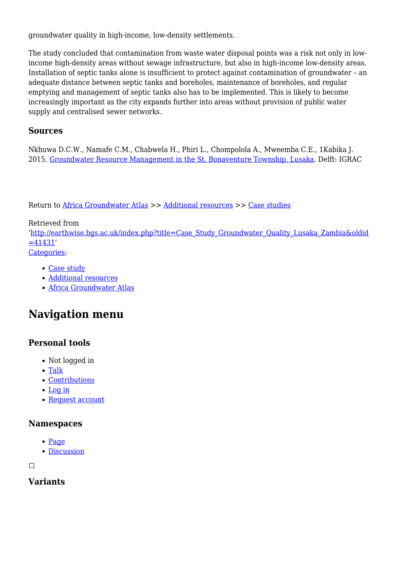groundwater quality in high-income, low-density settlements.

The study concluded that contamination from waste water disposal points was a risk not only in lowincome high-density areas without sewage infrastructure, but also in high-income low-density areas. Installation of septic tanks alone is insufficient to protect against contamination of groundwater – an adequate distance between septic tanks and boreholes, maintenance of boreholes, and regular emptying and management of septic tanks also has to be implemented. This is likely to become increasingly important as the city expands further into areas without provision of public water supply and centralised sewer networks.

### **Sources**

Nkhuwa D.C.W., Namafe C.M., Chabwela H., Phiri L., Chompolola A., Mweemba C.E., 1Kabika J. 2015. [Groundwater Resource Management in the St. Bonaventure Township, Lusaka.](https://www.un-igrac.org/resource/groundwater-resource-management-st-bonaventure-township-lusaka) Delft: IGRAC

Return to [Africa Groundwater Atlas](http://earthwise.bgs.ac.uk/index.php/Africa_Groundwater_Atlas_Home) >> [Additional resources](http://earthwise.bgs.ac.uk/index.php/Additional_resources) >> [Case studies](http://earthwise.bgs.ac.uk/index.php/Case_studies)

Retrieved from '[http://earthwise.bgs.ac.uk/index.php?title=Case\\_Study\\_Groundwater\\_Quality\\_Lusaka\\_Zambia&oldid](http://earthwise.bgs.ac.uk/index.php?title=Case_Study_Groundwater_Quality_Lusaka_Zambia&oldid=41431)  $=41431'$  $=41431'$ [Categories:](http://earthwise.bgs.ac.uk/index.php/Special:Categories)

- [Case study](http://earthwise.bgs.ac.uk/index.php/Category:Case_study)
- [Additional resources](http://earthwise.bgs.ac.uk/index.php/Category:Additional_resources)
- [Africa Groundwater Atlas](http://earthwise.bgs.ac.uk/index.php/Category:Africa_Groundwater_Atlas)

## **Navigation menu**

### **Personal tools**

- Not logged in
- [Talk](http://earthwise.bgs.ac.uk/index.php/Special:MyTalk)
- [Contributions](http://earthwise.bgs.ac.uk/index.php/Special:MyContributions)
- [Log in](http://earthwise.bgs.ac.uk/index.php?title=Special:UserLogin&returnto=Case+Study+Groundwater+Quality+Lusaka+Zambia&returntoquery=action%3Dmpdf)
- [Request account](http://earthwise.bgs.ac.uk/index.php/Special:RequestAccount)

#### **Namespaces**

- $\bullet$  [Page](http://earthwise.bgs.ac.uk/index.php/Case_Study_Groundwater_Quality_Lusaka_Zambia)
- [Discussion](http://earthwise.bgs.ac.uk/index.php?title=Talk:Case_Study_Groundwater_Quality_Lusaka_Zambia&action=edit&redlink=1)

 $\Box$ 

### **Variants**